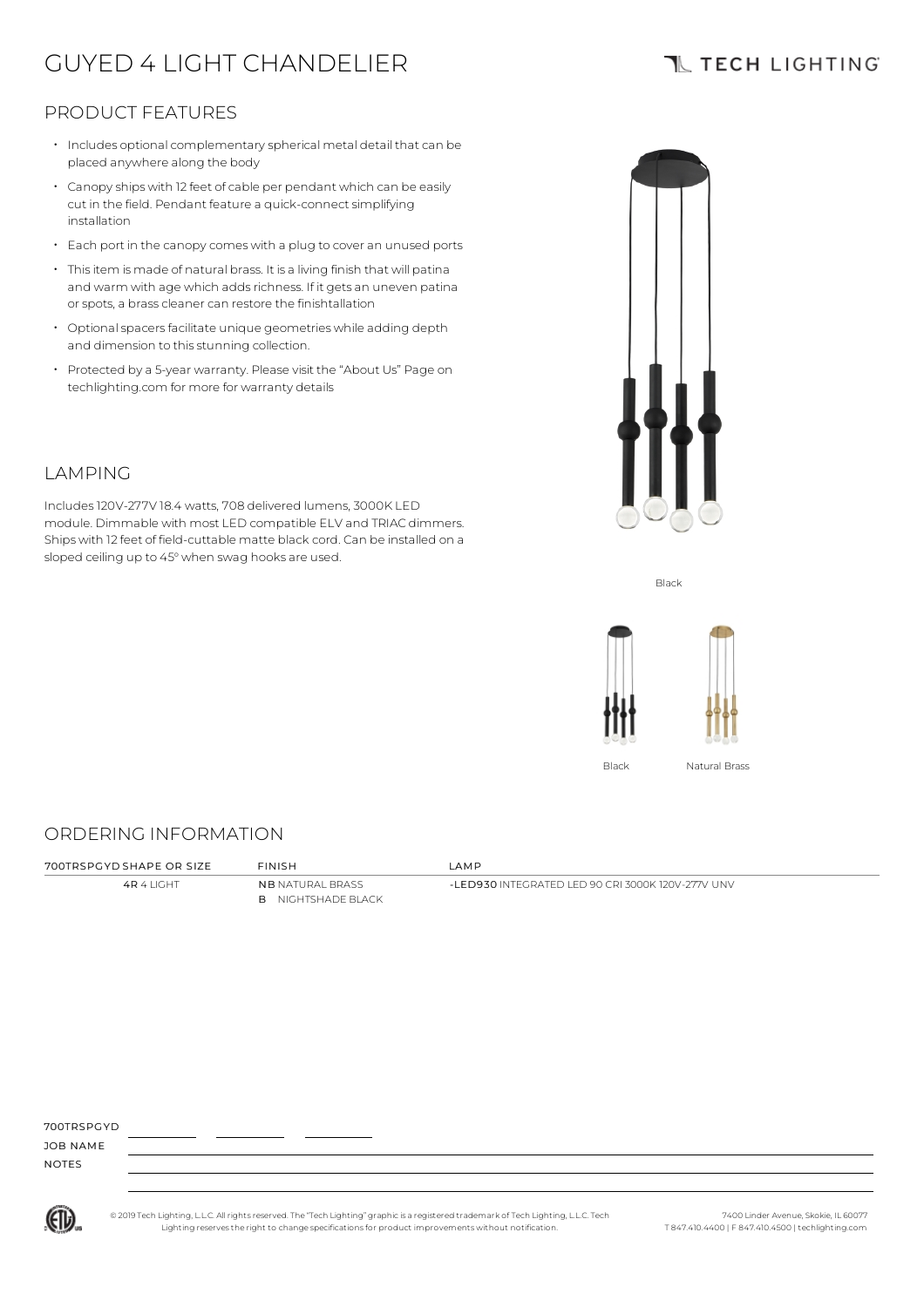# GUYED 4 LIGHT CHANDELIER

### **TL TECH LIGHTING**

### PRODUCT FEATURES

- Includes optional complementary spherical metal detail that can be placed anywhere along the body
- $\cdot$  Canopy ships with 12 feet of cable per pendant which can be easily cut in the field. Pendant feature a quick-connect simplifying installation
- Each port in the canopy comes with a plug to cover an unused ports
- Thisitem is made of natural brass. It is a living finish that will patina and warm with age which adds richness. If it gets an uneven patina or spots, a brass cleaner can restore the finishtallation
- $\cdot$  Optional spacers facilitate unique geometries while adding depth and dimension to this stunning collection.
- Protected by a 5-year warranty. Please visit the "About Us" Page on techlighting.com for more for warranty details



Includes120V-277V 18.4 watts, 708 delivered lumens, 3000K LED module. Dimmable with most LED compatible ELV and TRIAC dimmers. Ships with 12 feet of field-cuttable matte black cord. Can be installed on a sloped ceiling up to 45° when swag hooks are used.



Black



Black Natural Brass

### ORDERING INFORMATION

4R 4 LIGHT NB NATURAL BRASS B NIGHTSHADE BLACK

700TRSPGYD SHAPE OR SIZE FINISH LAMP

-LED930 INTEGRATED LED 90 CRI 3000K 120V-277V UNV

700TRSPGYD

JOB NAME NOTES



© 2019 Tech Lighting, L.L.C. All rightsreserved. The "Tech Lighting" graphicis a registered trademark of Tech Lighting, L.L.C. Tech Lighting reservesthe right to change specificationsfor product improvements without notification.

7400 Linder Avenue, Skokie, IL 60077 T 847.410.4400 | F 847.410.4500 | techlighting.com